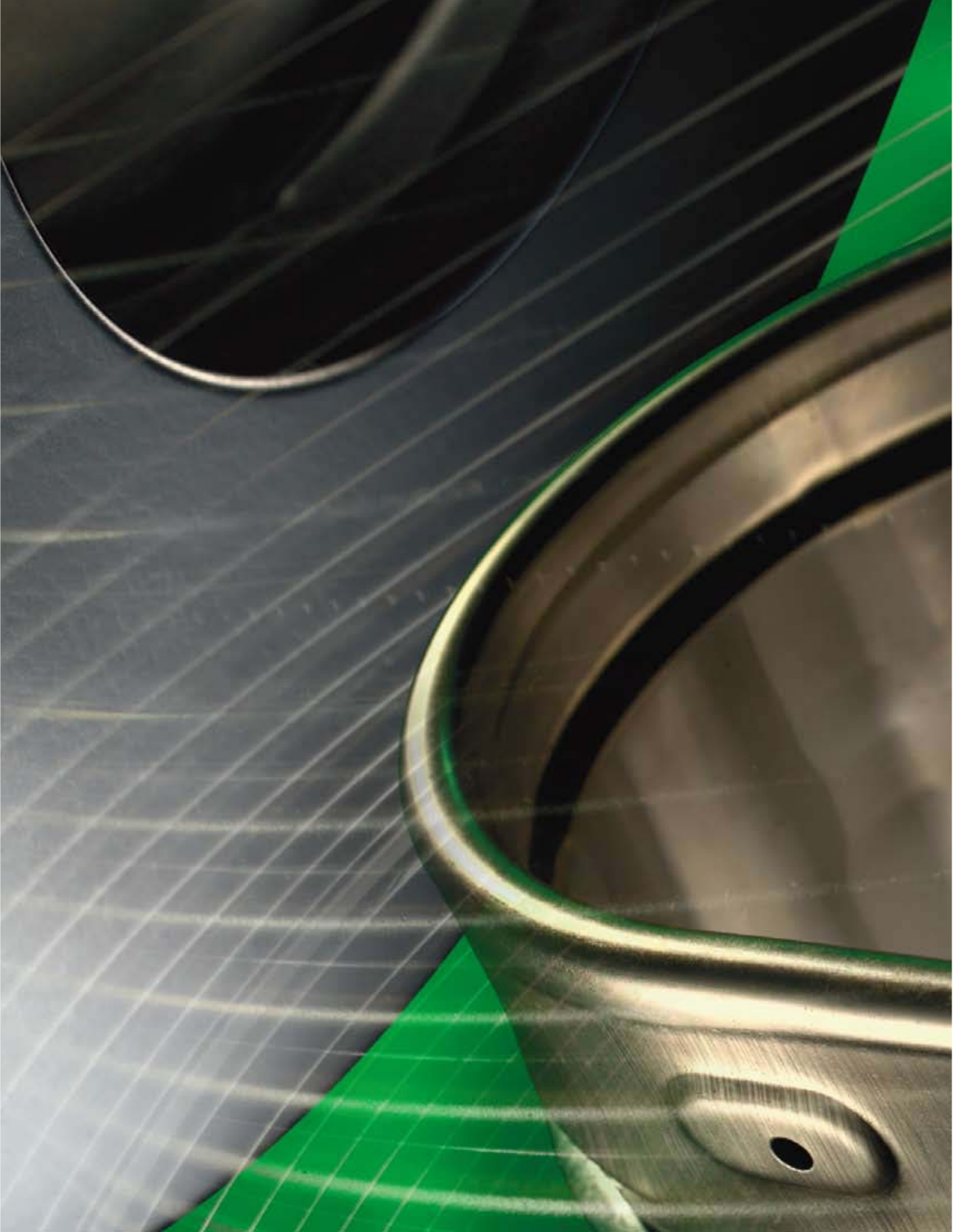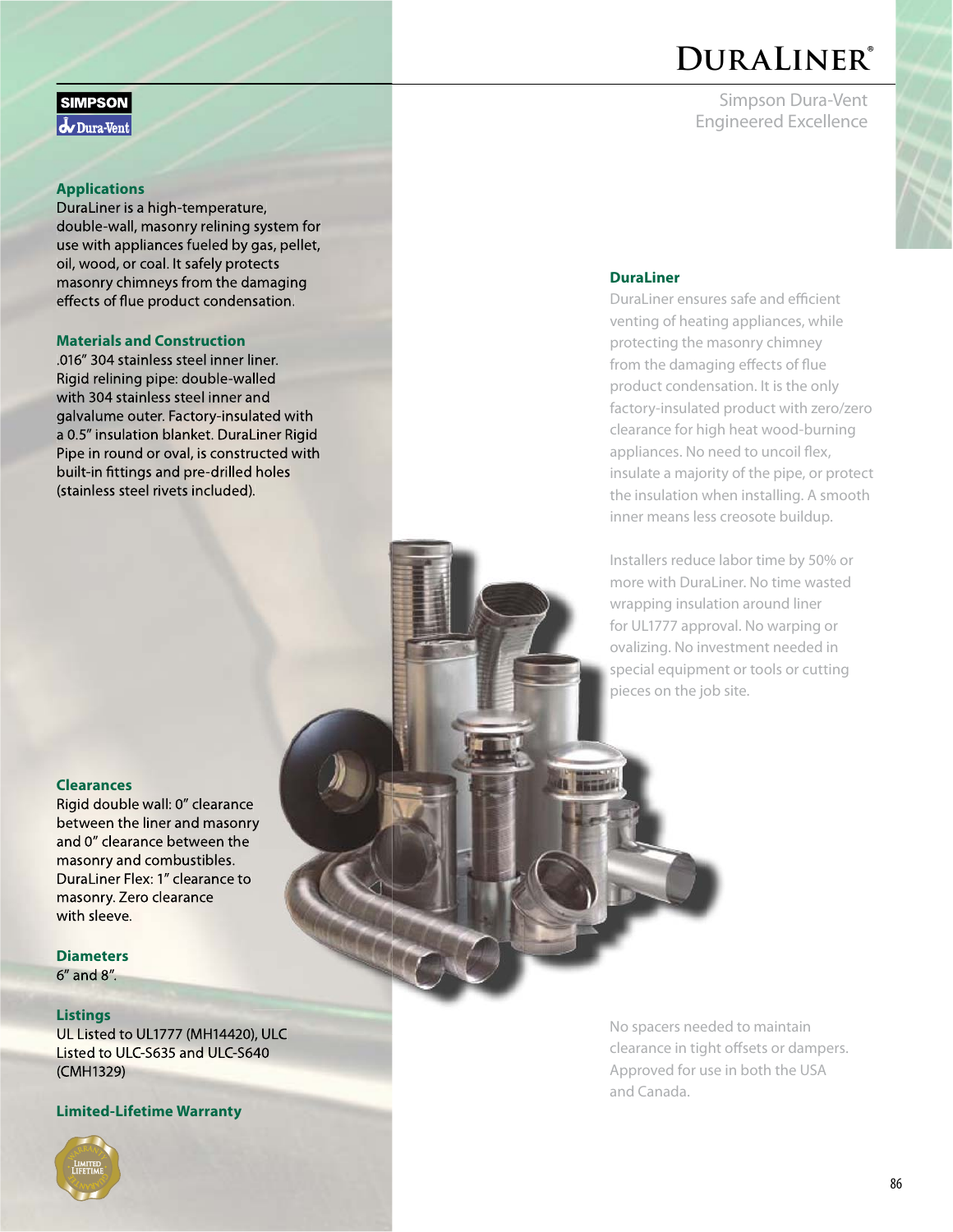#### **SIMPSON J** Dura-Vent

#### **Applications**

DuraLiner is a high-temperature, double-wall, masonry relining system for use with appliances fueled by gas, pellet, oil, wood, or coal. It safely protects masonry chimneys from the damaging effects of flue product condensation.

# **Materials and Construction**

Rigid relining pipe: double-walled with 304 stainless steel inner and galvalume outer. Factory-insulated with a 0.5" insulation blanket. DuraLiner Rigid Pipe in round or oval, is constructed with built-in fittings and pre-drilled holes (stainless steel rivets included).

# **DuraLiner®**

Simpson Dura-Vent Engineered Excellence

#### **DuraLiner**

DuraLiner ensures safe and efficient venting of heating appliances, while protecting the masonry chimney from the damaging effects of flue product condensation. It is the only factory-insulated product with zero/zero clearance for high heat wood-burning appliances. No need to uncoil flex, insulate a majority of the pipe, or protect the insulation when installing. A smooth inner means less creosote buildup.

Installers reduce labor time by 50% or more with DuraLiner. No time wasted wrapping insulation around liner for UL1777 approval. No warping or ovalizing. No investment needed in special equipment or tools or cutting pieces on the job site.

**Clearances** between the liner and masonry and 0" clearance between the masonry and combustibles. DuraLiner Flex: 1" clearance to masonry. Zero clearance with sleeve.

#### **Diameters** 6" and 8".

#### **Listings**

UL Listed to UL1777 (MH14420), ULC Listed to ULC-S635 and ULC-S640 (CMH1329)

#### **Limited-Lifetime Warranty**



No spacers needed to maintain clearance in tight offsets or dampers. Approved for use in both the USA and Canada.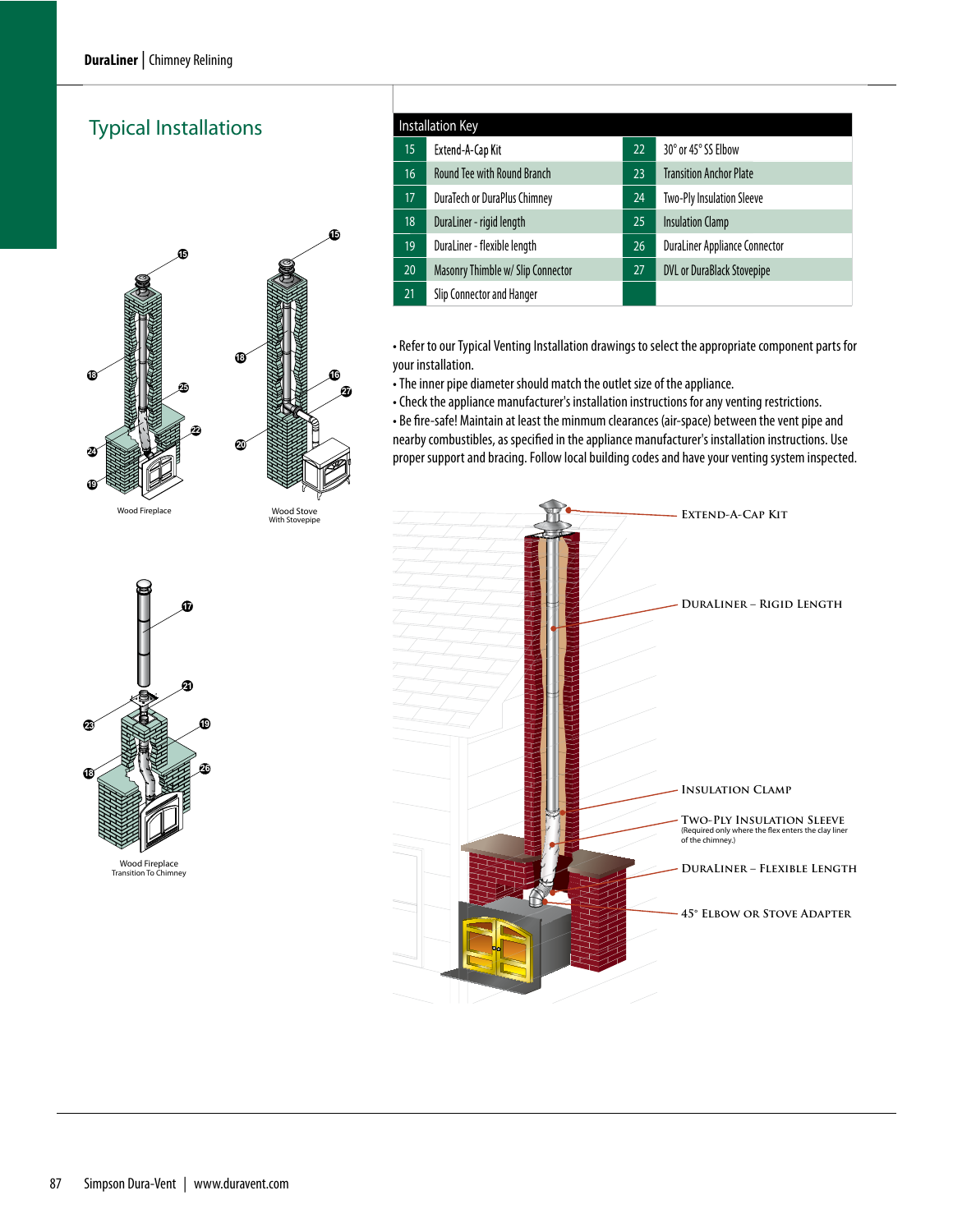### **Typical Installations**



|        | <b>Installation Key</b>           |    |                                   |  |  |
|--------|-----------------------------------|----|-----------------------------------|--|--|
| $15\,$ | Extend-A-Cap Kit                  | 22 | 30° or 45° SS Elbow               |  |  |
| 16     | Round Tee with Round Branch       | 23 | <b>Transition Anchor Plate</b>    |  |  |
| 17     | DuraTech or DuraPlus Chimney      | 24 | Two-Ply Insulation Sleeve         |  |  |
| 18     | DuraLiner - rigid length          | 25 | <b>Insulation Clamp</b>           |  |  |
| 19     | DuraLiner - flexible length       | 26 | DuraLiner Appliance Connector     |  |  |
| 20     | Masonry Thimble w/ Slip Connector | 27 | <b>DVL or DuraBlack Stovepipe</b> |  |  |
| 21     | Slip Connector and Hanger         |    |                                   |  |  |

• Refer to our Typical Venting Installation drawings to select the appropriate component parts for your installation.

• The inner pipe diameter should match the outlet size of the appliance.

• Check the appliance manufacturer's installation instructions for any venting restrictions.

• Be fire-safe! Maintain at least the minmum clearances (air-space) between the vent pipe and nearby combustibles, as specified in the appliance manufacturer's installation instructions. Use proper support and bracing. Follow local building codes and have your venting system inspected.





Transition To Chimney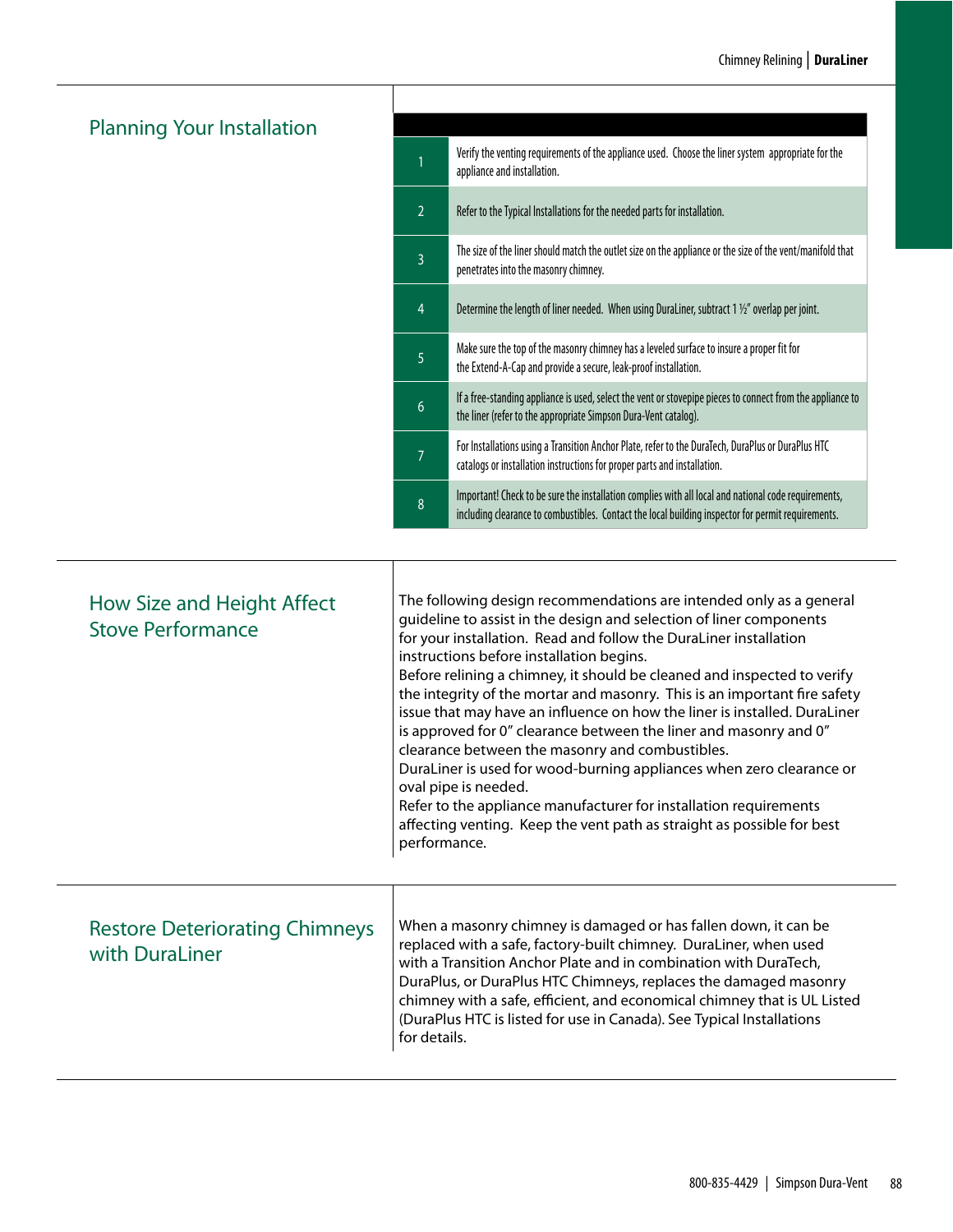| <b>Planning Your Installation</b>                       |                                                                                                                                                                                                                                                                                                                                                                                                                                                                                                                                                                                                                                                                                                                                                                                                                                                                                         |                                                                                                                                                                                                                                                                                                                                                                                                                                   |
|---------------------------------------------------------|-----------------------------------------------------------------------------------------------------------------------------------------------------------------------------------------------------------------------------------------------------------------------------------------------------------------------------------------------------------------------------------------------------------------------------------------------------------------------------------------------------------------------------------------------------------------------------------------------------------------------------------------------------------------------------------------------------------------------------------------------------------------------------------------------------------------------------------------------------------------------------------------|-----------------------------------------------------------------------------------------------------------------------------------------------------------------------------------------------------------------------------------------------------------------------------------------------------------------------------------------------------------------------------------------------------------------------------------|
|                                                         | 1                                                                                                                                                                                                                                                                                                                                                                                                                                                                                                                                                                                                                                                                                                                                                                                                                                                                                       | Verify the venting requirements of the appliance used. Choose the liner system appropriate for the<br>appliance and installation.                                                                                                                                                                                                                                                                                                 |
|                                                         | $\overline{2}$                                                                                                                                                                                                                                                                                                                                                                                                                                                                                                                                                                                                                                                                                                                                                                                                                                                                          | Refer to the Typical Installations for the needed parts for installation.                                                                                                                                                                                                                                                                                                                                                         |
|                                                         | $\overline{3}$                                                                                                                                                                                                                                                                                                                                                                                                                                                                                                                                                                                                                                                                                                                                                                                                                                                                          | The size of the liner should match the outlet size on the appliance or the size of the vent/manifold that<br>penetrates into the masonry chimney.                                                                                                                                                                                                                                                                                 |
|                                                         | 4                                                                                                                                                                                                                                                                                                                                                                                                                                                                                                                                                                                                                                                                                                                                                                                                                                                                                       | Determine the length of liner needed. When using DuraLiner, subtract 1 1/2" overlap per joint.                                                                                                                                                                                                                                                                                                                                    |
|                                                         | 5                                                                                                                                                                                                                                                                                                                                                                                                                                                                                                                                                                                                                                                                                                                                                                                                                                                                                       | Make sure the top of the masonry chimney has a leveled surface to insure a proper fit for<br>the Extend-A-Cap and provide a secure, leak-proof installation.                                                                                                                                                                                                                                                                      |
|                                                         | $\boldsymbol{6}$                                                                                                                                                                                                                                                                                                                                                                                                                                                                                                                                                                                                                                                                                                                                                                                                                                                                        | If a free-standing appliance is used, select the vent or stovepipe pieces to connect from the appliance to<br>the liner (refer to the appropriate Simpson Dura-Vent catalog).                                                                                                                                                                                                                                                     |
|                                                         | $\overline{7}$                                                                                                                                                                                                                                                                                                                                                                                                                                                                                                                                                                                                                                                                                                                                                                                                                                                                          | For Installations using a Transition Anchor Plate, refer to the DuraTech, DuraPlus or DuraPlus HTC<br>catalogs or installation instructions for proper parts and installation.                                                                                                                                                                                                                                                    |
|                                                         | 8                                                                                                                                                                                                                                                                                                                                                                                                                                                                                                                                                                                                                                                                                                                                                                                                                                                                                       | Important! Check to be sure the installation complies with all local and national code requirements,<br>including clearance to combustibles. Contact the local building inspector for permit requirements.                                                                                                                                                                                                                        |
| How Size and Height Affect<br><b>Stove Performance</b>  | The following design recommendations are intended only as a general<br>guideline to assist in the design and selection of liner components<br>for your installation. Read and follow the DuraLiner installation<br>instructions before installation begins.<br>Before relining a chimney, it should be cleaned and inspected to verify<br>the integrity of the mortar and masonry. This is an important fire safety<br>issue that may have an influence on how the liner is installed. DuraLiner<br>is approved for 0" clearance between the liner and masonry and 0"<br>clearance between the masonry and combustibles.<br>DuraLiner is used for wood-burning appliances when zero clearance or<br>oval pipe is needed.<br>Refer to the appliance manufacturer for installation requirements<br>affecting venting. Keep the vent path as straight as possible for best<br>performance. |                                                                                                                                                                                                                                                                                                                                                                                                                                   |
| <b>Restore Deteriorating Chimneys</b><br>with DuraLiner | for details.                                                                                                                                                                                                                                                                                                                                                                                                                                                                                                                                                                                                                                                                                                                                                                                                                                                                            | When a masonry chimney is damaged or has fallen down, it can be<br>replaced with a safe, factory-built chimney. DuraLiner, when used<br>with a Transition Anchor Plate and in combination with DuraTech,<br>DuraPlus, or DuraPlus HTC Chimneys, replaces the damaged masonry<br>chimney with a safe, efficient, and economical chimney that is UL Listed<br>(DuraPlus HTC is listed for use in Canada). See Typical Installations |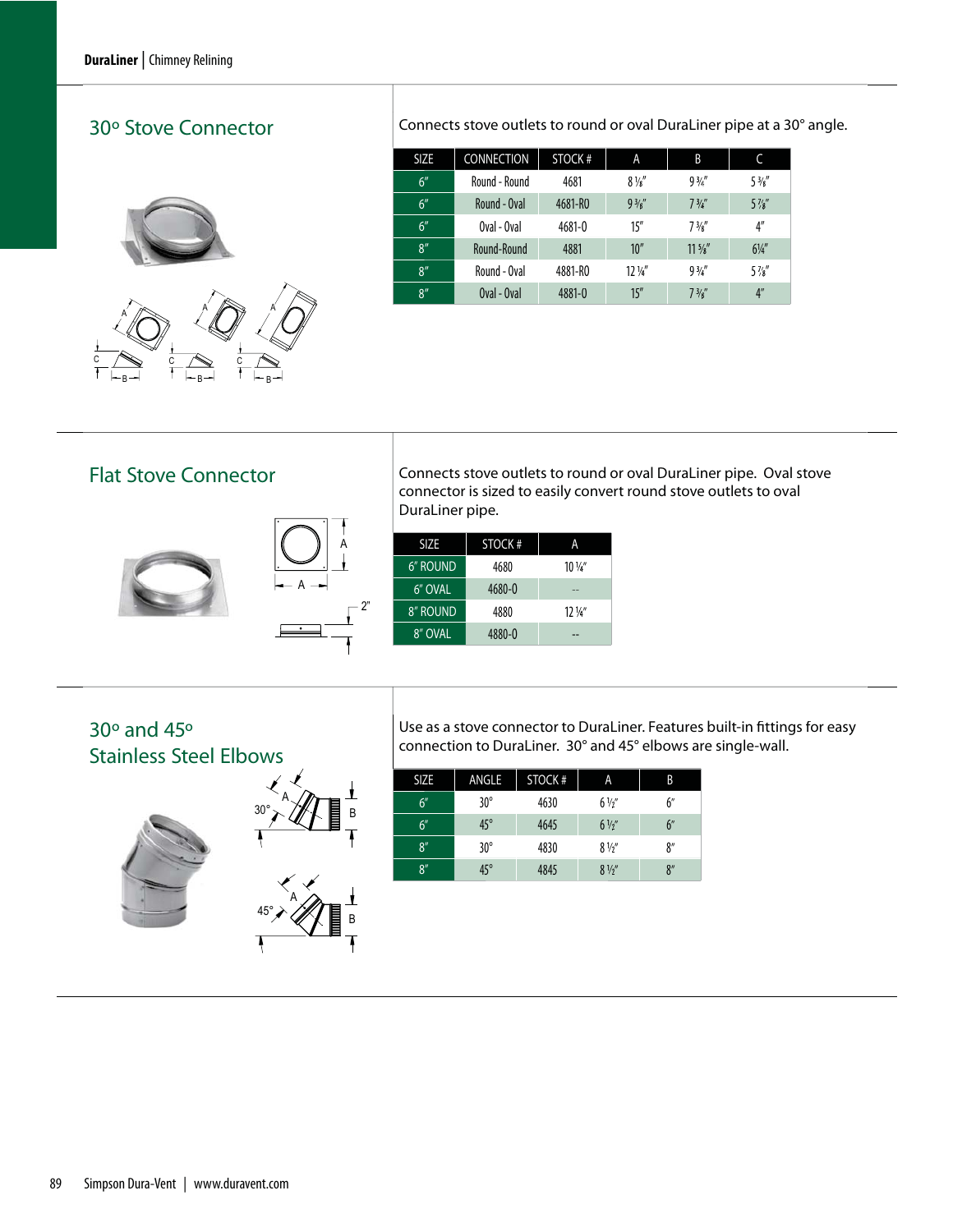#### 30º Stove Connector



ī

Connects stove outlets to round or oval DuraLiner pipe at a 30° angle.

| <b>SIZE</b>     | <b>CONNECTION</b> | STOCK#  | A               | B                 |                    |
|-----------------|-------------------|---------|-----------------|-------------------|--------------------|
| 6''             | Round - Round     | 4681    | $8\frac{1}{8}$  | 93/4''            | $5\frac{3}{8}$ "   |
| 6''             | Round - Oval      | 4681-RO | $9\frac{3}{8}$  | $7\frac{3}{4}$    | $5\frac{7}{8}$     |
| 6''             | Oval - Oval       | 4681-0  | 15''            | $7\frac{3}{8}$    | $4^{\prime\prime}$ |
| 8 <sup>''</sup> | Round-Round       | 4881    | 10''            | $11\frac{5}{8}$ " | $6\frac{1}{4}$     |
| 8 <sup>''</sup> | Round - Oval      | 4881-RO | $12\frac{1}{4}$ | 93/4''            | $5\frac{1}{8}$     |
| 8''             | Oval - Oval       | 4881-0  | 15''            | $7\frac{3}{8}$ "  | 4 <sup>''</sup>    |

## Flat Stove Connector

ī

 $\mathbf{r}$ 





Connects stove outlets to round or oval DuraLiner pipe. Oval stove connector is sized to easily convert round stove outlets to oval DuraLiner pipe.

| <b>SIZE</b> | STOCK # | А                 |
|-------------|---------|-------------------|
| 6" ROUND    | 4680    | $10\,\frac{1}{4}$ |
| 6" OVAL     | 4680-0  |                   |
| 8" ROUND    | 4880    | $12\frac{1}{4}$   |
| 8" OVAL     | 4880-0  |                   |

30º and 45º Stainless Steel Elbows



Use as a stove connector to DuraLiner. Features built-in fittings for easy connection to DuraLiner. 30° and 45° elbows are single-wall.

| <b>SIZE</b> | ANGLE        | STOCK # | A              | B              |
|-------------|--------------|---------|----------------|----------------|
| 6''         | $30^\circ$   | 4630    | $6\frac{1}{2}$ | 6″             |
| 6''         | $45^{\circ}$ | 4645    | $6\frac{1}{2}$ | 6 <sup>n</sup> |
| 8''         | $30^\circ$   | 4830    | $8\frac{1}{2}$ | 8''            |
| 8''         | $45^{\circ}$ | 4845    | $8\frac{1}{2}$ | 8''            |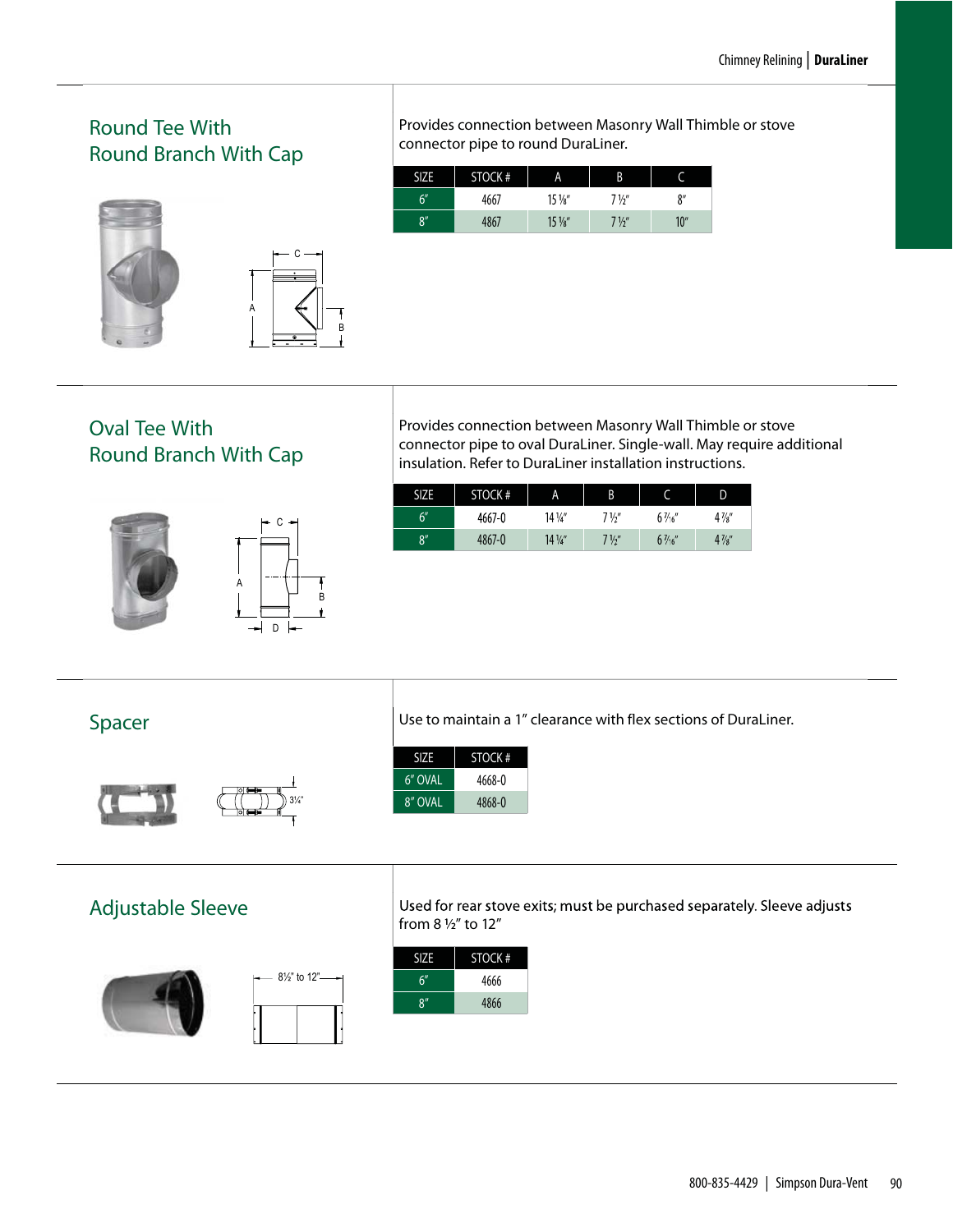### Round Tee With Round Branch With Cap





B

Provides connection between Masonry Wall Thimble or stove connector pipe to round DuraLiner.

|     | STOCK# | А               | В              |     |
|-----|--------|-----------------|----------------|-----|
| 6'' | 4667   | $15\frac{1}{8}$ | 7½″            | 8'' |
| 8'' | 4867   | $15\frac{1}{8}$ | $7\frac{1}{2}$ | 10" |

Oval Tee With Round Branch With Cap



Provides connection between Masonry Wall Thimble or stove connector pipe to oval DuraLiner. Single-wall. May require additional insulation. Refer to DuraLiner installation instructions.

| <b>SIZE</b>     | STOCK# | A               | B              |                 | D              |
|-----------------|--------|-----------------|----------------|-----------------|----------------|
| 6 <sup>''</sup> | 4667-0 | 14 1/4"         | 7 ½″           | $6\frac{7}{16}$ | $4\frac{7}{8}$ |
| 8″              | 4867-0 | $14\frac{1}{4}$ | $7\frac{1}{2}$ | $6\frac{7}{16}$ | $4\frac{7}{8}$ |

Use to maintain a 1" clearance with flex sections of DuraLiner.

Spacer



SIZE | STOCK # 6" OVAL 4668-O 8" OVAL 4868-0

Adjustable Sleeve



Used for rear stove exits; must be purchased separately. Sleeve adjusts from 8 1⁄2" to 12"

| SIZE | STOCK# |
|------|--------|
|      | 4666   |
|      | 4866   |
|      |        |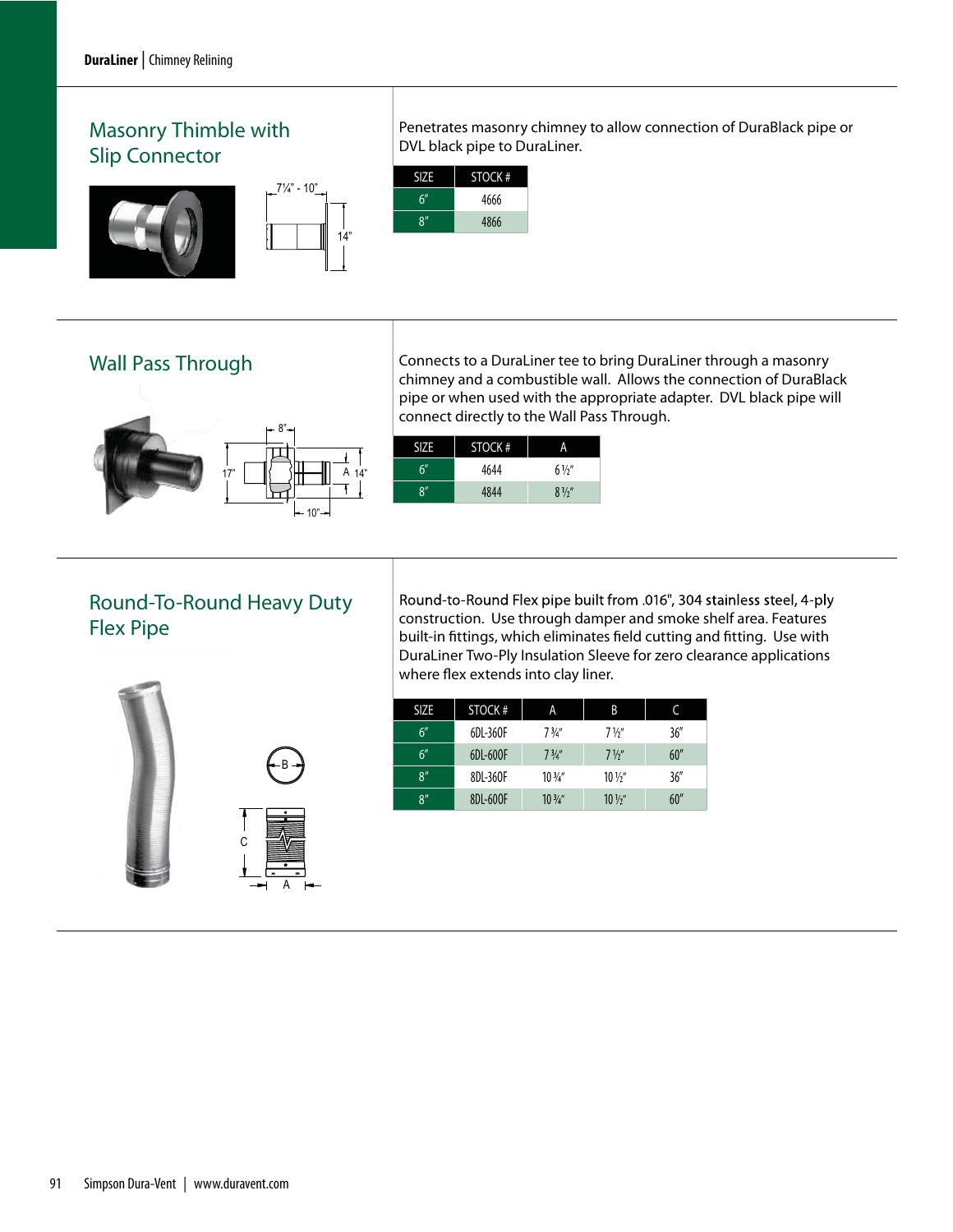## Masonry Thimble with Slip Connector





Penetrates masonry chimney to allow connection of DuraBlack pipe or DVL black pipe to DuraLiner.



#### Wall Pass Through



Connects to a DuraLiner tee to bring DuraLiner through a masonry chimney and a combustible wall. Allows the connection of DuraBlack pipe or when used with the appropriate adapter. DVL black pipe will connect directly to the Wall Pass Through.

| SIZE | STOCK # | А              |
|------|---------|----------------|
| 6"   | 4644    | $6\frac{1}{2}$ |
| R''  | 4844    | 81/2           |

## Round-To-Round Heavy Duty Flex Pipe



Round-to-Round Flex pipe built from .016", 304 stainless steel, 4-ply construction. Use through damper and smoke shelf area. Features built-in fittings, which eliminates field cutting and fitting. Use with DuraLiner Two-Ply Insulation Sleeve for zero clearance applications where flex extends into clay liner.

| <b>SIZE</b> | STOCK#   | A                 | B               |      |
|-------------|----------|-------------------|-----------------|------|
| 6''         | 6DL-360F | 73/4''            | $7\frac{1}{2}$  | 36'' |
| 6''         | 6DL-600F | 73/4''            | $7\frac{1}{3}$  | 60'' |
| 8''         | 8DL-360F | $10\frac{3}{4}$ " | $10\frac{1}{2}$ | 36'' |
| 8''         | 8DL-600F | $10\frac{3}{4}$ " | $10\frac{1}{2}$ | 60'' |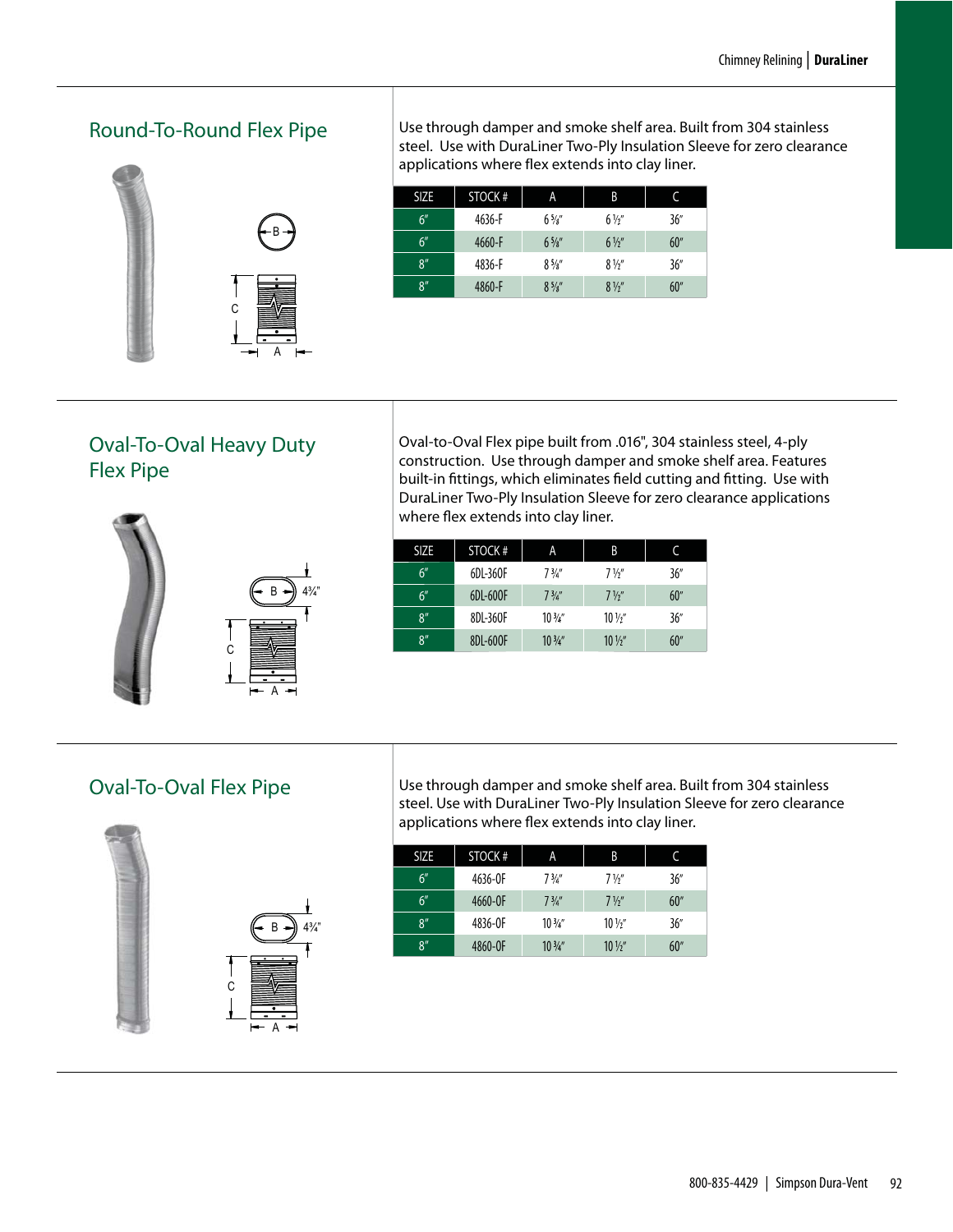### Round-To-Round Flex Pipe



Use through damper and smoke shelf area. Built from 304 stainless steel. Use with DuraLiner Two-Ply Insulation Sleeve for zero clearance applications where flex extends into clay liner.

| <b>SIZE</b> | STOCK#     | А              | B              |      |
|-------------|------------|----------------|----------------|------|
| 6''         | 4636-F     | $6\frac{5}{8}$ | $6\frac{1}{2}$ | 36'' |
| 6''         | $4660 - F$ | $6\frac{5}{8}$ | $6\frac{1}{2}$ | 60"  |
| 8''         | 4836-F     | $8\frac{5}{8}$ | $8\frac{1}{2}$ | 36'' |
| 8''         | 4860-F     | $8\frac{5}{8}$ | $8\frac{1}{2}$ | 60"  |

## Oval-To-Oval Heavy Duty Flex Pipe



4¾"

Oval-to-Oval Flex pipe built from .016", 304 stainless steel, 4-ply construction. Use through damper and smoke shelf area. Features built-in fittings, which eliminates field cutting and fitting. Use with DuraLiner Two-Ply Insulation Sleeve for zero clearance applications where flex extends into clay liner.

| <b>SIZE</b> | STOCK#   | А                 | B               |      |
|-------------|----------|-------------------|-----------------|------|
| 6''         | 6DL-360F | 73/4''            | $7\frac{1}{2}$  | 36'' |
| 6''         | 6DL-600F | 73/4''            | $7\frac{1}{2}$  | 60"  |
| 8''         | 8DL-360F | $10\frac{3}{4}$ " | $10\frac{1}{2}$ | 36'' |
| 8''         | 8DL-600F | $10\frac{3}{4}$ " | $10\frac{1}{2}$ | 60"  |

#### Oval-To-Oval Flex Pipe



Use through damper and smoke shelf area. Built from 304 stainless steel. Use with DuraLiner Two-Ply Insulation Sleeve for zero clearance applications where flex extends into clay liner.

| <b>SIZE</b> | STOCK#  | А                 | B               |      |
|-------------|---------|-------------------|-----------------|------|
| 6''         | 4636-0F | $7\frac{3}{4}$    | $7\frac{1}{2}$  | 36'' |
| 6''         | 4660-0F | 73/4''            | $7\frac{1}{3}$  | 60"  |
| 8''         | 4836-0F | $10\frac{3}{4}$ " | $10\frac{1}{3}$ | 36'' |
| 8''         | 4860-0F | $10\frac{3}{4}$ " | $10\frac{1}{3}$ | 60"  |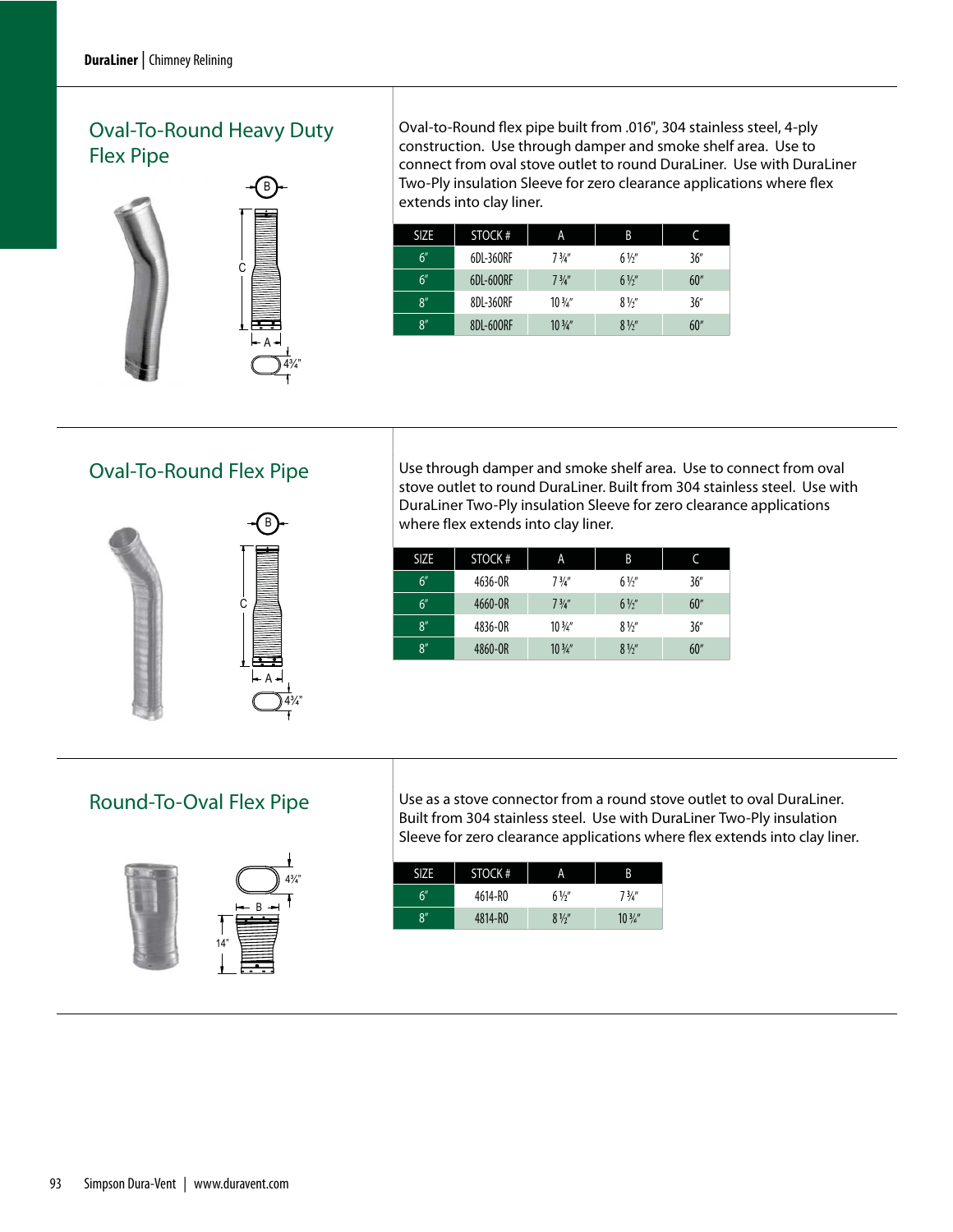## Oval-To-Round Heavy Duty Flex Pipe

B

A

 $\ddot{\mathbf{r}}$ 



Oval-to-Round flex pipe built from .016", 304 stainless steel, 4-ply construction. Use through damper and smoke shelf area. Use to connect from oval stove outlet to round DuraLiner. Use with DuraLiner Two-Ply insulation Sleeve for zero clearance applications where flex extends into clay liner.

| <b>SIZE</b> | STOCK#    | А                 | B              |      |
|-------------|-----------|-------------------|----------------|------|
| 6''         | 6DL-360RF | 73/4''            | $6\frac{1}{2}$ | 36'' |
| 6''         | 6DL-600RF | 73/4''            | $6\frac{1}{2}$ | 60"  |
| 8''         | 8DI-360RF | $10\frac{3}{4}$ " | $8\frac{1}{2}$ | 36'' |
| 8''         | 8DL-600RF | $10\frac{3}{4}$ " | $8\frac{1}{2}$ | 60"  |

#### Oval-To-Round Flex Pipe





Use through damper and smoke shelf area. Use to connect from oval stove outlet to round DuraLiner. Built from 304 stainless steel. Use with DuraLiner Two-Ply insulation Sleeve for zero clearance applications where flex extends into clay liner.

| <b>SIZE</b> | STOCK # | A                 | B              |      |
|-------------|---------|-------------------|----------------|------|
| 6''         | 4636-OR | 73/4''            | $6\frac{1}{2}$ | 36'' |
| 6''         | 4660-0R | $7\frac{3}{4}$    | $6\frac{1}{2}$ | 60"  |
| 8''         | 4836-OR | $10\frac{3}{4}$ " | $8\frac{1}{2}$ | 36'' |
| 8''         | 4860-OR | $10\frac{3}{4}$ " | $8\frac{1}{2}$ | 60"  |

#### Round-To-Oval Flex Pipe



Use as a stove connector from a round stove outlet to oval DuraLiner. Built from 304 stainless steel. Use with DuraLiner Two-Ply insulation Sleeve for zero clearance applications where flex extends into clay liner.

| <b>SIZE</b> | STOCK # | А              | B                 |
|-------------|---------|----------------|-------------------|
| 6''         | 4614-RO | $6\frac{1}{2}$ | $7\frac{3}{4}$    |
| 8''         | 4814-RO | $8\frac{1}{2}$ | $10\frac{3}{4}$ " |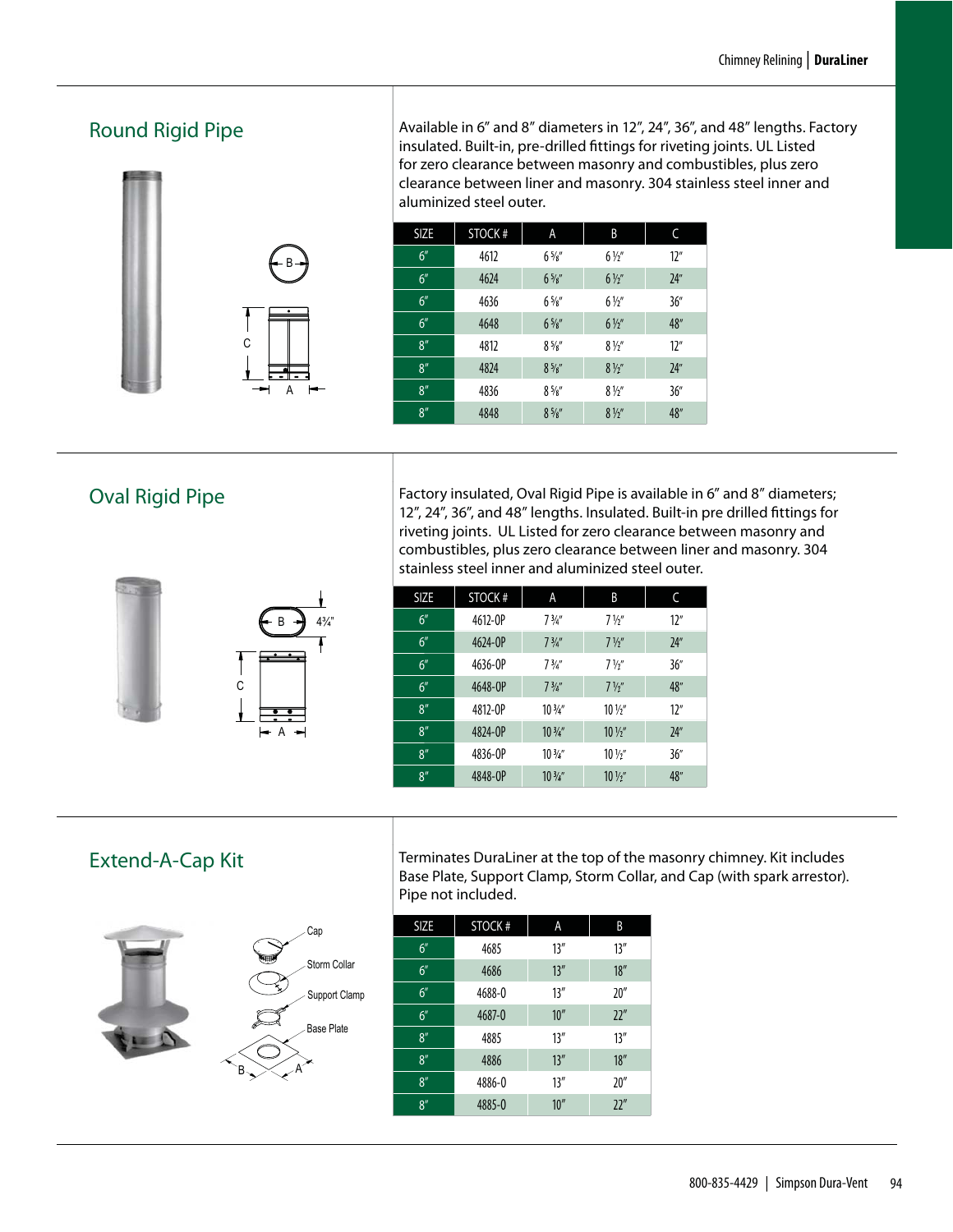### Round Rigid Pipe



Available in 6" and 8" diameters in 12", 24", 36", and 48" lengths. Factory insulated. Built-in, pre-drilled fittings for riveting joints. UL Listed for zero clearance between masonry and combustibles, plus zero clearance between liner and masonry. 304 stainless steel inner and aluminized steel outer.

| <b>SIZE</b> | STOCK# | A                | B              | C    |
|-------------|--------|------------------|----------------|------|
| 6''         | 4612   | $6\frac{5}{8}$ " | $6\frac{1}{2}$ | 12"  |
| 6''         | 4624   | $6\frac{5}{8}$ " | $6\frac{1}{2}$ | 24"  |
| 6''         | 4636   | $6\frac{5}{8}$   | $6\frac{1}{2}$ | 36'' |
| 6''         | 4648   | $6\frac{5}{8}$ " | $6\frac{1}{2}$ | 48"  |
| 8''         | 4812   | $8\frac{5}{8}$ " | $8\frac{1}{2}$ | 12"  |
| 8''         | 4824   | $8\frac{5}{8}$ " | $8\frac{1}{2}$ | 24"  |
| 8''         | 4836   | $8\frac{5}{8}$ " | $8\frac{1}{2}$ | 36"  |
| 8''         | 4848   | $8\frac{5}{8}$ " | $8\frac{1}{2}$ | 48"  |

#### Oval Rigid Pipe



Factory insulated, Oval Rigid Pipe is available in 6" and 8" diameters; 12", 24", 36", and 48" lengths. Insulated. Built-in pre drilled fittings for riveting joints. UL Listed for zero clearance between masonry and combustibles, plus zero clearance between liner and masonry. 304 stainless steel inner and aluminized steel outer.

| <b>SIZE</b>     | STOCK#  | А                 | B               |      |
|-----------------|---------|-------------------|-----------------|------|
| 6''             | 4612-0P | $7\frac{3}{4}$    | $7\frac{1}{2}$  | 12"  |
| 6''             | 4624-0P | $7\frac{3}{4}$    | $7\frac{1}{2}$  | 24"  |
| 6''             | 4636-0P | 73/4''            | $7\frac{1}{2}$  | 36'' |
| 6 <sup>''</sup> | 4648-0P | 73/4''            | $7\frac{1}{2}$  | 48"  |
| 8''             | 4812-0P | $10\frac{3}{4}$ " | $10\frac{1}{2}$ | 12"  |
| 8''             | 4824-0P | $10\frac{3}{4}$ " | $10\frac{1}{2}$ | 24"  |
| 8''             | 4836-0P | $10\frac{3}{4}$ " | $10\frac{1}{2}$ | 36'' |
| 8''             | 4848-0P | $10\frac{3}{4}$ " | $10\frac{1}{2}$ | 48"  |

#### Extend-A-Cap Kit



Terminates DuraLiner at the top of the masonry chimney. Kit includes Base Plate, Support Clamp, Storm Collar, and Cap (with spark arrestor). Pipe not included.

| <b>SIZE</b> | STOCK# | A    | B    |
|-------------|--------|------|------|
| 6''         | 4685   | 13'' | 13'' |
| 6''         | 4686   | 13'' | 18'' |
| 6''         | 4688-0 | 13'' | 20'' |
| 6''         | 4687-0 | 10'' | 22"  |
| 8''         | 4885   | 13'' | 13'' |
| 8''         | 4886   | 13'' | 18'' |
| 8''         | 4886-0 | 13'' | 20'' |
| 8''         | 4885-0 | 10'' | 22"  |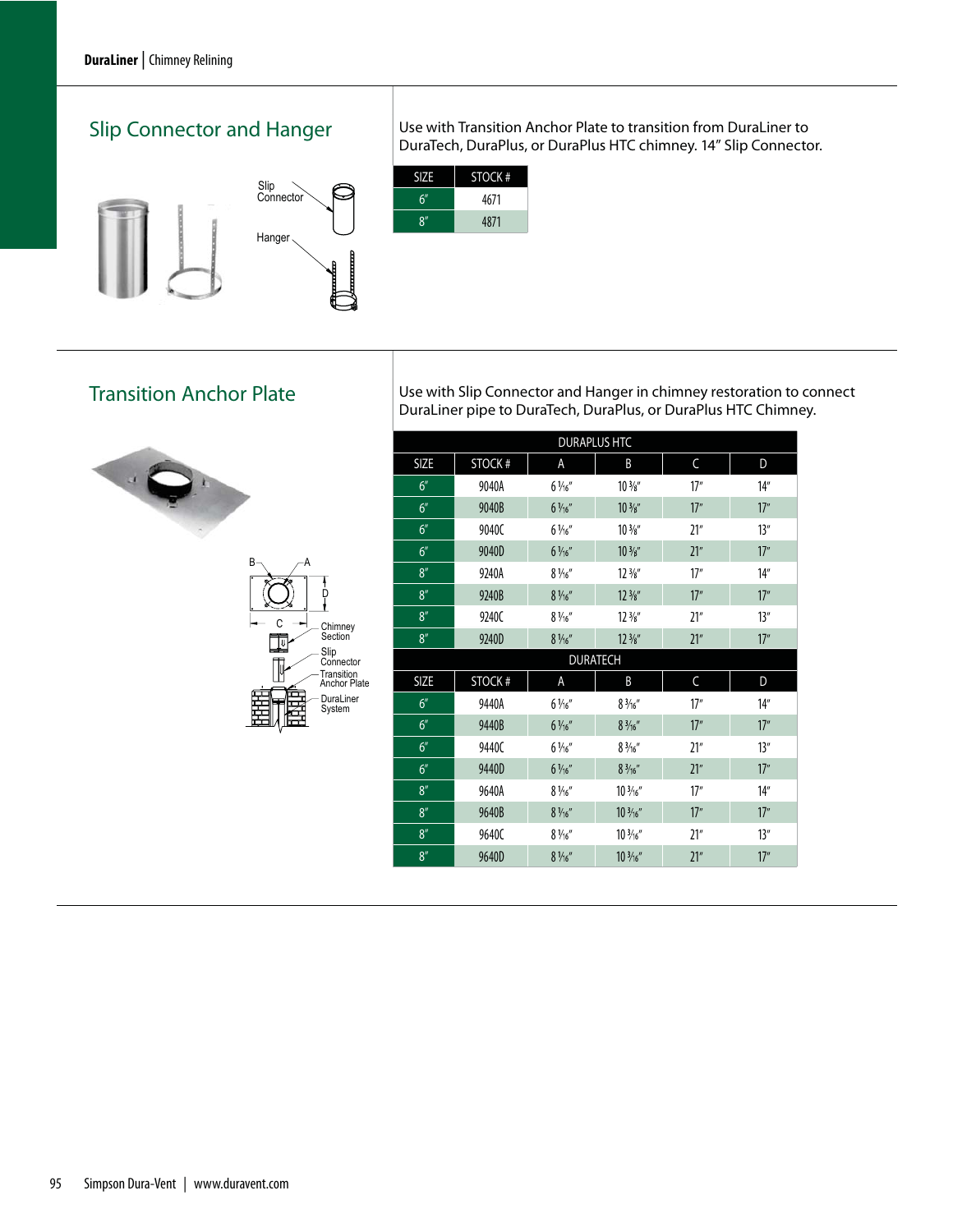### Slip Connector and Hanger



Use with Transition Anchor Plate to transition from DuraLiner to DuraTech, DuraPlus, or DuraPlus HTC chimney. 14" Slip Connector.



#### Transition Anchor Plate





Use with Slip Connector and Hanger in chimney restoration to connect DuraLiner pipe to DuraTech, DuraPlus, or DuraPlus HTC Chimney.

| <b>DURAPLUS HTC</b> |        |                 |                    |      |      |
|---------------------|--------|-----------------|--------------------|------|------|
| <b>SIZE</b>         | STOCK# | A               | B                  | C    | D    |
| 6''                 | 9040A  | $6\frac{1}{16}$ | $10\frac{3}{8}$ "  | 17"  | 14"  |
| 6''                 | 9040B  | $6\frac{1}{16}$ | $10\frac{3}{8}$ "  | 17'' | 17'' |
| 6 <sup>''</sup>     | 9040C  | $6\frac{1}{16}$ | $10\frac{3}{8}$ "  | 21"  | 13"  |
| 6''                 | 9040D  | $6\frac{1}{16}$ | $10\frac{3}{8}$ "  | 21"  | 17"  |
| 8''                 | 9240A  | $8\frac{1}{16}$ | $12\frac{3}{8}$ "  | 17"  | 14"  |
| 8''                 | 9240B  | $8\frac{1}{16}$ | $12\frac{3}{8}$ "  | 17'' | 17'' |
| 8''                 | 9240C  | $8\frac{1}{16}$ | $12\frac{3}{8}$ "  | 21"  | 13"  |
| 8''                 | 9240D  | $8\frac{1}{16}$ | $12\frac{3}{8}$ "  | 21"  | 17"  |
|                     |        | <b>DURATECH</b> |                    |      |      |
| <b>SIZE</b>         | STOCK# | A               | B                  | C    | D    |
| 6''                 | 9440A  | $6\frac{1}{16}$ | $8\frac{3}{16}$ "  | 17"  | 14'' |
| 6''                 | 9440B  | $6\frac{1}{16}$ | $8\frac{3}{16}$ "  | 17'' | 17'' |
| 6 <sup>''</sup>     | 9440C  | $6\frac{1}{16}$ | $8\frac{3}{16}$ "  | 21"  | 13"  |
| 6''                 | 9440D  | $6\frac{1}{16}$ | $8\frac{3}{16}$ "  | 21"  | 17'' |
| 8''                 | 9640A  | $8\frac{1}{16}$ | $10\frac{3}{16}$ " | 17"  | 14"  |
| 8''                 | 9640B  | $8\frac{1}{16}$ | $10\frac{3}{16}$ " | 17'' | 17'' |
| 8''                 | 9640C  | $8\frac{1}{16}$ | $10\frac{3}{16}$ " | 21"  | 13'' |
| 8''                 | 9640D  | $8\frac{1}{16}$ | $10\frac{3}{16}$ " | 21"  | 17'' |